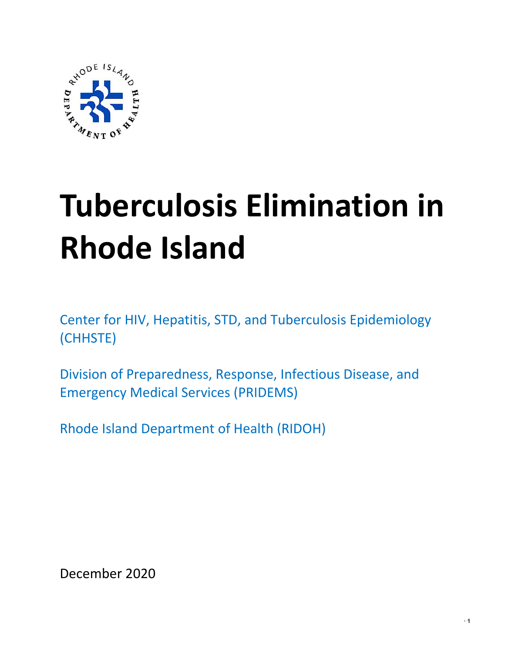

# **Tuberculosis Elimination in Rhode Island**

Center for HIV, Hepatitis, STD, and Tuberculosis Epidemiology (CHHSTE)

Division of Preparedness, Response, Infectious Disease, and Emergency Medical Services (PRIDEMS)

Rhode Island Department of Health (RIDOH)

December 2020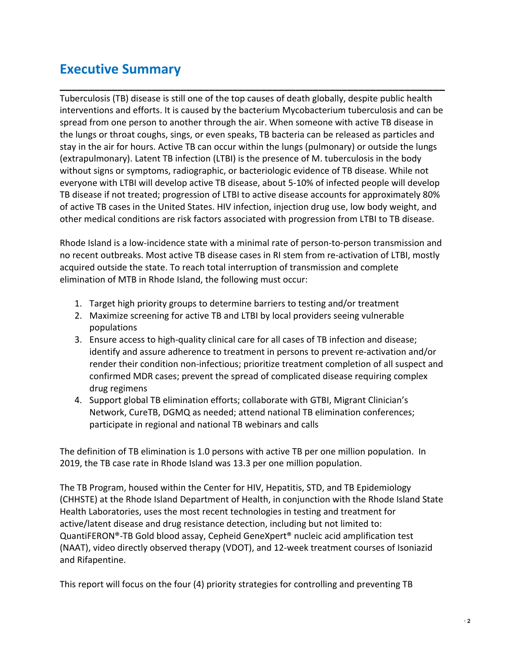## **Executive Summary**

Tuberculosis (TB) disease is still one of the top causes of death globally, despite public health interventions and efforts. It is caused by the bacterium Mycobacterium tuberculosis and can be spread from one person to another through the air. When someone with active TB disease in the lungs or throat coughs, sings, or even speaks, TB bacteria can be released as particles and stay in the air for hours. Active TB can occur within the lungs (pulmonary) or outside the lungs (extrapulmonary). Latent TB infection (LTBI) is the presence of M. tuberculosis in the body without signs or symptoms, radiographic, or bacteriologic evidence of TB disease. While not everyone with LTBI will develop active TB disease, about 5-10% of infected people will develop TB disease if not treated; progression of LTBI to active disease accounts for approximately 80% of active TB cases in the United States. HIV infection, injection drug use, low body weight, and other medical conditions are risk factors associated with progression from LTBI to TB disease.

**\_\_\_\_\_\_\_\_\_\_\_\_\_\_\_\_\_\_\_\_\_\_\_\_\_\_\_\_\_\_\_\_\_\_\_\_\_\_\_\_\_\_\_\_\_\_\_\_\_\_\_\_\_\_\_\_\_\_\_\_\_\_\_\_\_\_\_**

Rhode Island is a low-incidence state with a minimal rate of person-to-person transmission and no recent outbreaks. Most active TB disease cases in RI stem from re-activation of LTBI, mostly acquired outside the state. To reach total interruption of transmission and complete elimination of MTB in Rhode Island, the following must occur:

- 1. Target high priority groups to determine barriers to testing and/or treatment
- 2. Maximize screening for active TB and LTBI by local providers seeing vulnerable populations
- 3. Ensure access to high-quality clinical care for all cases of TB infection and disease; identify and assure adherence to treatment in persons to prevent re-activation and/or render their condition non-infectious; prioritize treatment completion of all suspect and confirmed MDR cases; prevent the spread of complicated disease requiring complex drug regimens
- 4. Support global TB elimination efforts; collaborate with GTBI, Migrant Clinician's Network, CureTB, DGMQ as needed; attend national TB elimination conferences; participate in regional and national TB webinars and calls

The definition of TB elimination is 1.0 persons with active TB per one million population. In 2019, the TB case rate in Rhode Island was 13.3 per one million population.

The TB Program, housed within the Center for HIV, Hepatitis, STD, and TB Epidemiology (CHHSTE) at the Rhode Island Department of Health, in conjunction with the Rhode Island State Health Laboratories, uses the most recent technologies in testing and treatment for active/latent disease and drug resistance detection, including but not limited to: QuantiFERON®-TB Gold blood assay, Cepheid GeneXpert® nucleic acid amplification test (NAAT), video directly observed therapy (VDOT), and 12-week treatment courses of Isoniazid and Rifapentine.

This report will focus on the four (4) priority strategies for controlling and preventing TB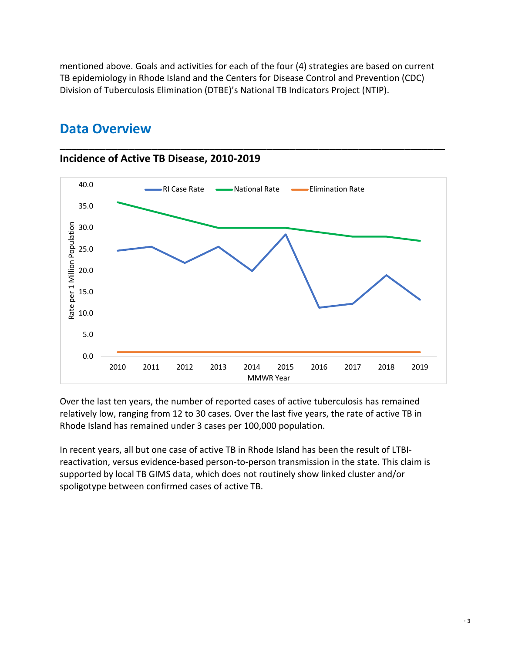mentioned above. Goals and activities for each of the four (4) strategies are based on current TB epidemiology in Rhode Island and the Centers for Disease Control and Prevention (CDC) Division of Tuberculosis Elimination (DTBE)'s National TB Indicators Project (NTIP).

**\_\_\_\_\_\_\_\_\_\_\_\_\_\_\_\_\_\_\_\_\_\_\_\_\_\_\_\_\_\_\_\_\_\_\_\_\_\_\_\_\_\_\_\_\_\_\_\_\_\_\_\_\_\_\_\_\_\_\_\_\_\_\_\_\_\_\_**



## **Data Overview**

**Incidence of Active TB Disease, 2010-2019**

Over the last ten years, the number of reported cases of active tuberculosis has remained relatively low, ranging from 12 to 30 cases. Over the last five years, the rate of active TB in Rhode Island has remained under 3 cases per 100,000 population.

In recent years, all but one case of active TB in Rhode Island has been the result of LTBIreactivation, versus evidence-based person-to-person transmission in the state. This claim is supported by local TB GIMS data, which does not routinely show linked cluster and/or spoligotype between confirmed cases of active TB.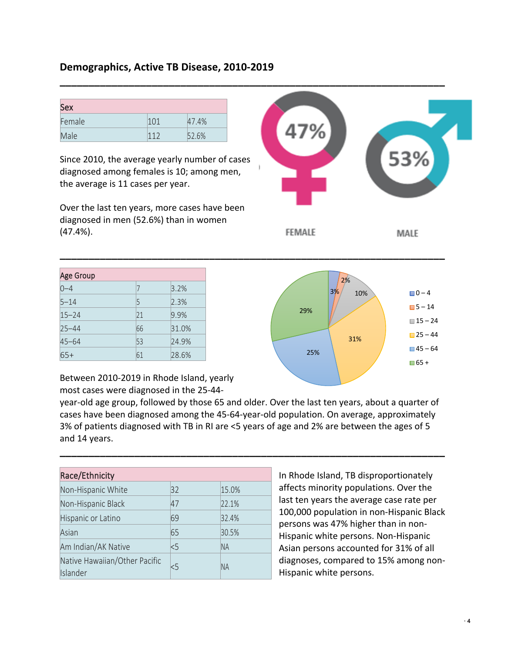#### **Demographics, Active TB Disease, 2010-2019**

| <b>Sex</b> |     |       |
|------------|-----|-------|
| Female     | 101 | 47.4% |
| Male       |     | 52.6% |

Since 2010, the average yearly number of cases diagnosed among females is 10; among men, the average is 11 cases per year.

Over the last ten years, more cases have been diagnosed in men (52.6%) than in women (47.4%).

| <b>Age Group</b> |    |       |
|------------------|----|-------|
| $0 - 4$          | 7  | 3.2%  |
| $5 - 14$         | 5  | 2.3%  |
| $15 - 24$        | 21 | 9.9%  |
| $25 - 44$        | 66 | 31.0% |
| $45 - 64$        | 53 | 24.9% |
| $65+$            | 61 | 28.6% |

53% **FEMALE** MALE



Between 2010-2019 in Rhode Island, yearly most cases were diagnosed in the 25-44-

year-old age group, followed by those 65 and older. Over the last ten years, about a quarter of cases have been diagnosed among the 45-64-year-old population. On average, approximately 3% of patients diagnosed with TB in RI are <5 years of age and 2% are between the ages of 5 and 14 years.

**\_\_\_\_\_\_\_\_\_\_\_\_\_\_\_\_\_\_\_\_\_\_\_\_\_\_\_\_\_\_\_\_\_\_\_\_\_\_\_\_\_\_\_\_\_\_\_\_\_\_\_\_\_\_\_\_\_\_\_\_\_\_\_\_\_\_\_**

**\_\_\_\_\_\_\_\_\_\_\_\_\_\_\_\_\_\_\_\_\_\_\_\_\_\_\_\_\_\_\_\_\_\_\_\_\_\_\_\_\_\_\_\_\_\_\_\_\_\_\_\_\_\_\_\_\_\_\_\_\_\_\_\_\_\_\_**

**\_\_\_\_\_\_\_\_\_\_\_\_\_\_\_\_\_\_\_\_\_\_\_\_\_\_\_\_\_\_\_\_\_\_\_\_\_\_\_\_\_\_\_\_\_\_\_\_\_\_\_\_\_\_\_\_\_\_\_\_\_\_\_\_\_\_\_**

| Race/Ethnicity                            |     |           |
|-------------------------------------------|-----|-----------|
| Non-Hispanic White                        | 32  | 15.0%     |
| Non-Hispanic Black                        | 47  | 22.1%     |
| Hispanic or Latino                        | 69  | 32.4%     |
| Asian                                     | 65  | 30.5%     |
| Am Indian/AK Native                       | < 5 | <b>NA</b> |
| Native Hawaiian/Other Pacific<br>Islander | 5   | <b>NA</b> |

In Rhode Island, TB disproportionately affects minority populations. Over the last ten years the average case rate per 100,000 population in non-Hispanic Black persons was 47% higher than in non-Hispanic white persons. Non-Hispanic Asian persons accounted for 31% of all diagnoses, compared to 15% among non-Hispanic white persons.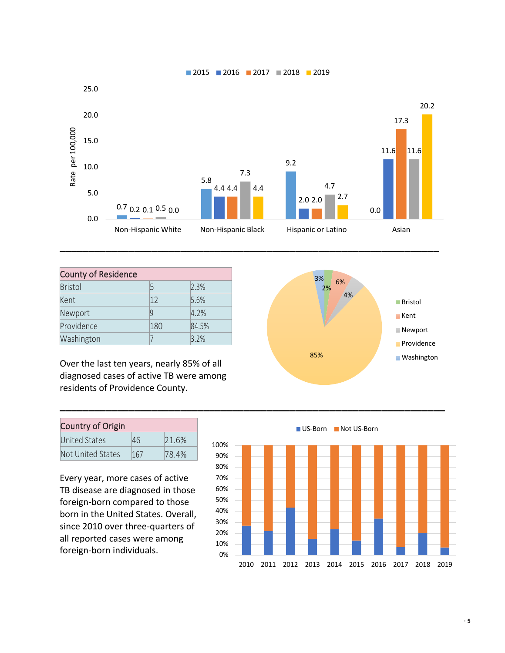

**\_\_\_\_\_\_\_\_\_\_\_\_\_\_\_\_\_\_\_\_\_\_\_\_\_\_\_\_\_\_\_\_\_\_\_\_\_\_\_\_\_\_\_\_\_\_\_\_\_\_\_\_\_\_\_\_\_\_\_\_\_\_\_\_\_\_\_**

| <b>County of Residence</b> |              |       |
|----------------------------|--------------|-------|
| <b>Bristol</b>             | 5            | 2.3%  |
| Kent                       | $ 12\rangle$ | 5.6%  |
| Newport                    | q            | 4.2%  |
| Providence                 | 180          | 84.5% |
| Washington                 |              | 3.2%  |

Over the last ten years, nearly 85% of all diagnosed cases of active TB were among residents of Providence County.

| <b>Country of Origin</b> |     |        |
|--------------------------|-----|--------|
| <b>United States</b>     | 46  | 121.6% |
| Not United States        | 167 | 78.4%  |

Every year, more cases of active TB disease are diagnosed in those foreign-born compared to those born in the United States. Overall, since 2010 over three-quarters of all reported cases were among foreign-born individuals.



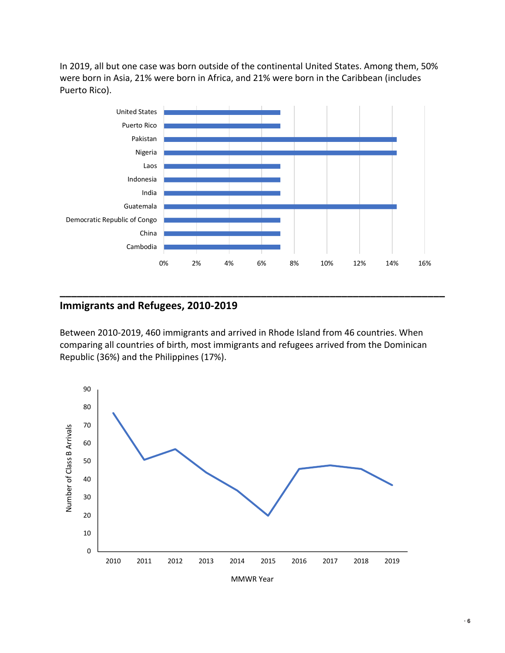In 2019, all but one case was born outside of the continental United States. Among them, 50% were born in Asia, 21% were born in Africa, and 21% were born in the Caribbean (includes Puerto Rico).



#### **Immigrants and Refugees, 2010-2019**

Between 2010-2019, 460 immigrants and arrived in Rhode Island from 46 countries. When comparing all countries of birth, most immigrants and refugees arrived from the Dominican Republic (36%) and the Philippines (17%).

**\_\_\_\_\_\_\_\_\_\_\_\_\_\_\_\_\_\_\_\_\_\_\_\_\_\_\_\_\_\_\_\_\_\_\_\_\_\_\_\_\_\_\_\_\_\_\_\_\_\_\_\_\_\_\_\_\_\_\_\_\_\_\_\_\_\_\_**

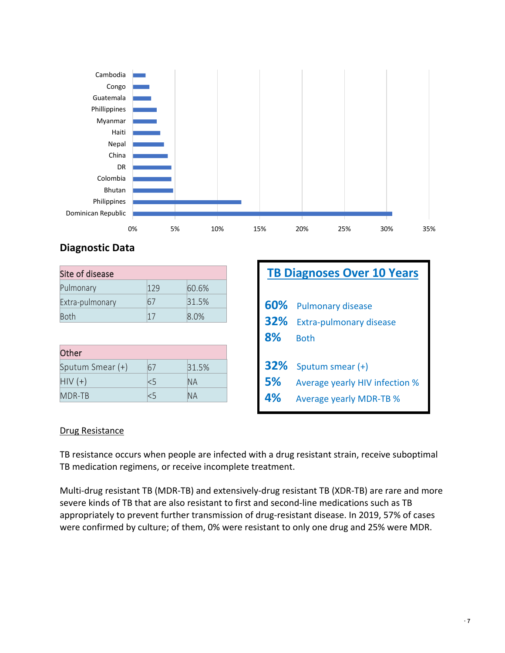

### **Diagnostic Data**

| Site of disease |     |        |
|-----------------|-----|--------|
| Pulmonary       | 179 | 60.6%  |
| Extra-pulmonary | 67  | 131.5% |
| Both            | 17  | 8.0%   |

| <b>Other</b>     |    |       |
|------------------|----|-------|
| Sputum Smear (+) | 67 | 31.5% |
| $HIV (+)$        | Κ5 | INA   |
| MDR-TB           |    | ΙNΑ   |

|     | <b>TB Diagnoses Over 10 Years</b> |
|-----|-----------------------------------|
| 60% | <b>Pulmonary disease</b>          |
| 32% | <b>Extra-pulmonary disease</b>    |
| 8%  | <b>Both</b>                       |
| 32% | Sputum smear (+)                  |
| 5%  | Average yearly HIV infection %    |
| 4%  | <b>Average yearly MDR-TB %</b>    |

#### Drug Resistance

TB resistance occurs when people are infected with a drug resistant strain, receive suboptimal TB medication regimens, or receive incomplete treatment.

Multi-drug resistant TB (MDR-TB) and extensively-drug resistant TB (XDR-TB) are rare and more severe kinds of TB that are also resistant to first and second-line medications such as TB appropriately to prevent further transmission of drug-resistant disease. In 2019, 57% of cases were confirmed by culture; of them, 0% were resistant to only one drug and 25% were MDR.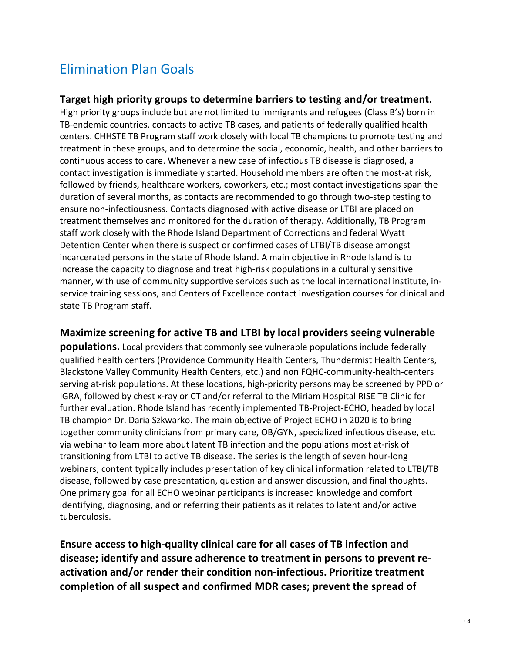# Elimination Plan Goals

#### **Target high priority groups to determine barriers to testing and/or treatment.**

High priority groups include but are not limited to immigrants and refugees (Class B's) born in TB-endemic countries, contacts to active TB cases, and patients of federally qualified health centers. CHHSTE TB Program staff work closely with local TB champions to promote testing and treatment in these groups, and to determine the social, economic, health, and other barriers to continuous access to care. Whenever a new case of infectious TB disease is diagnosed, a contact investigation is immediately started. Household members are often the most-at risk, followed by friends, healthcare workers, coworkers, etc.; most contact investigations span the duration of several months, as contacts are recommended to go through two-step testing to ensure non-infectiousness. Contacts diagnosed with active disease or LTBI are placed on treatment themselves and monitored for the duration of therapy. Additionally, TB Program staff work closely with the Rhode Island Department of Corrections and federal Wyatt Detention Center when there is suspect or confirmed cases of LTBI/TB disease amongst incarcerated persons in the state of Rhode Island. A main objective in Rhode Island is to increase the capacity to diagnose and treat high-risk populations in a culturally sensitive manner, with use of community supportive services such as the local international institute, inservice training sessions, and Centers of Excellence contact investigation courses for clinical and state TB Program staff.

#### **Maximize screening for active TB and LTBI by local providers seeing vulnerable**

**populations.** Local providers that commonly see vulnerable populations include federally qualified health centers (Providence Community Health Centers, Thundermist Health Centers, Blackstone Valley Community Health Centers, etc.) and non FQHC-community-health-centers serving at-risk populations. At these locations, high-priority persons may be screened by PPD or IGRA, followed by chest x-ray or CT and/or referral to the Miriam Hospital RISE TB Clinic for further evaluation. Rhode Island has recently implemented TB-Project-ECHO, headed by local TB champion Dr. Daria Szkwarko. The main objective of Project ECHO in 2020 is to bring together community clinicians from primary care, OB/GYN, specialized infectious disease, etc. via webinar to learn more about latent TB infection and the populations most at-risk of transitioning from LTBI to active TB disease. The series is the length of seven hour-long webinars; content typically includes presentation of key clinical information related to LTBI/TB disease, followed by case presentation, question and answer discussion, and final thoughts. One primary goal for all ECHO webinar participants is increased knowledge and comfort identifying, diagnosing, and or referring their patients as it relates to latent and/or active tuberculosis.

**Ensure access to high-quality clinical care for all cases of TB infection and disease; identify and assure adherence to treatment in persons to prevent reactivation and/or render their condition non-infectious. Prioritize treatment completion of all suspect and confirmed MDR cases; prevent the spread of**